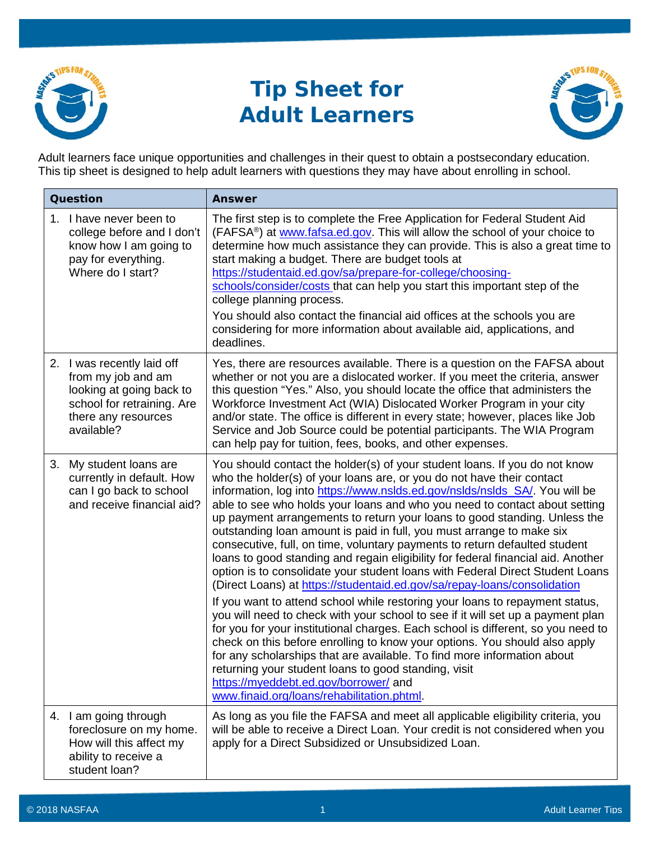

## **Tip Sheet for Adult Learners**



Adult learners face unique opportunities and challenges in their quest to obtain a postsecondary education. This tip sheet is designed to help adult learners with questions they may have about enrolling in school.

| Question |                                                                                                                                                 | <b>Answer</b>                                                                                                                                                                                                                                                                                                                                                                                                                                                                                                                                                                                                                                                                                                                                                                                                                                                                                                                                                                                                                                                                                                                                                                                                                                                                                                                                                        |
|----------|-------------------------------------------------------------------------------------------------------------------------------------------------|----------------------------------------------------------------------------------------------------------------------------------------------------------------------------------------------------------------------------------------------------------------------------------------------------------------------------------------------------------------------------------------------------------------------------------------------------------------------------------------------------------------------------------------------------------------------------------------------------------------------------------------------------------------------------------------------------------------------------------------------------------------------------------------------------------------------------------------------------------------------------------------------------------------------------------------------------------------------------------------------------------------------------------------------------------------------------------------------------------------------------------------------------------------------------------------------------------------------------------------------------------------------------------------------------------------------------------------------------------------------|
|          | 1. I have never been to<br>college before and I don't<br>know how I am going to<br>pay for everything.<br>Where do I start?                     | The first step is to complete the Free Application for Federal Student Aid<br>(FAFSA <sup>®</sup> ) at www.fafsa.ed.gov. This will allow the school of your choice to<br>determine how much assistance they can provide. This is also a great time to<br>start making a budget. There are budget tools at<br>https://studentaid.ed.gov/sa/prepare-for-college/choosing-<br>schools/consider/costs that can help you start this important step of the<br>college planning process.<br>You should also contact the financial aid offices at the schools you are<br>considering for more information about available aid, applications, and<br>deadlines.                                                                                                                                                                                                                                                                                                                                                                                                                                                                                                                                                                                                                                                                                                               |
|          | 2. I was recently laid off<br>from my job and am<br>looking at going back to<br>school for retraining. Are<br>there any resources<br>available? | Yes, there are resources available. There is a question on the FAFSA about<br>whether or not you are a dislocated worker. If you meet the criteria, answer<br>this question "Yes." Also, you should locate the office that administers the<br>Workforce Investment Act (WIA) Dislocated Worker Program in your city<br>and/or state. The office is different in every state; however, places like Job<br>Service and Job Source could be potential participants. The WIA Program<br>can help pay for tuition, fees, books, and other expenses.                                                                                                                                                                                                                                                                                                                                                                                                                                                                                                                                                                                                                                                                                                                                                                                                                       |
|          | 3. My student loans are<br>currently in default. How<br>can I go back to school<br>and receive financial aid?                                   | You should contact the holder(s) of your student loans. If you do not know<br>who the holder(s) of your loans are, or you do not have their contact<br>information, log into https://www.nslds.ed.gov/nslds/nslds_SA/. You will be<br>able to see who holds your loans and who you need to contact about setting<br>up payment arrangements to return your loans to good standing. Unless the<br>outstanding loan amount is paid in full, you must arrange to make six<br>consecutive, full, on time, voluntary payments to return defaulted student<br>loans to good standing and regain eligibility for federal financial aid. Another<br>option is to consolidate your student loans with Federal Direct Student Loans<br>(Direct Loans) at https://studentaid.ed.gov/sa/repay-loans/consolidation<br>If you want to attend school while restoring your loans to repayment status,<br>you will need to check with your school to see if it will set up a payment plan<br>for you for your institutional charges. Each school is different, so you need to<br>check on this before enrolling to know your options. You should also apply<br>for any scholarships that are available. To find more information about<br>returning your student loans to good standing, visit<br>https://myeddebt.ed.gov/borrower/ and<br>www.finaid.org/loans/rehabilitation.phtml. |
|          | 4. I am going through<br>foreclosure on my home.<br>How will this affect my<br>ability to receive a<br>student loan?                            | As long as you file the FAFSA and meet all applicable eligibility criteria, you<br>will be able to receive a Direct Loan. Your credit is not considered when you<br>apply for a Direct Subsidized or Unsubsidized Loan.                                                                                                                                                                                                                                                                                                                                                                                                                                                                                                                                                                                                                                                                                                                                                                                                                                                                                                                                                                                                                                                                                                                                              |